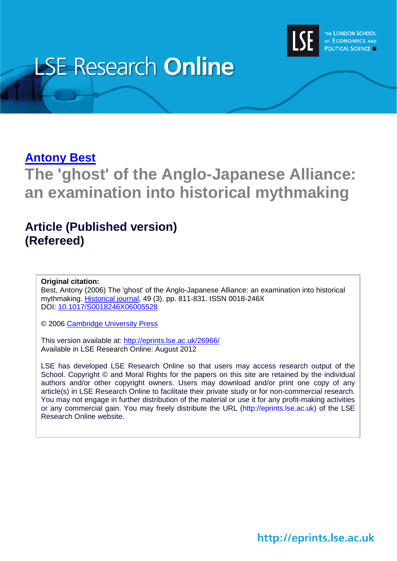

# **LSE Research Online**

## **[Antony Best](http://www2.lse.ac.uk/researchAndExpertise/Experts/profile.aspx?KeyValue=a.best@lse.ac.uk)**

**The 'ghost' of the Anglo-Japanese Alliance: an examination into historical mythmaking**

# **Article (Published version) (Refereed)**

### **Original citation:**

Best, Antony (2006) The 'ghost' of the Anglo-Japanese Alliance: an examination into historical mythmaking. [Historical journal,](http://journals.cambridge.org/action/displayJournal?jid=HIS) 49 (3). pp. 811-831. ISSN 0018-246X DOI: [10.1017/S0018246X06005528](http://dx.doi.org/10.1017/S0018246X06005528)

© 2006 [Cambridge University Press](http://www.cambridge.org/)

This version available at:<http://eprints.lse.ac.uk/26966/> Available in LSE Research Online: August 2012

LSE has developed LSE Research Online so that users may access research output of the School. Copyright © and Moral Rights for the papers on this site are retained by the individual authors and/or other copyright owners. Users may download and/or print one copy of any article(s) in LSE Research Online to facilitate their private study or for non-commercial research. You may not engage in further distribution of the material or use it for any profit-making activities or any commercial gain. You may freely distribute the URL (http://eprints.lse.ac.uk) of the LSE Research Online website.

http://eprints.lse.ac.uk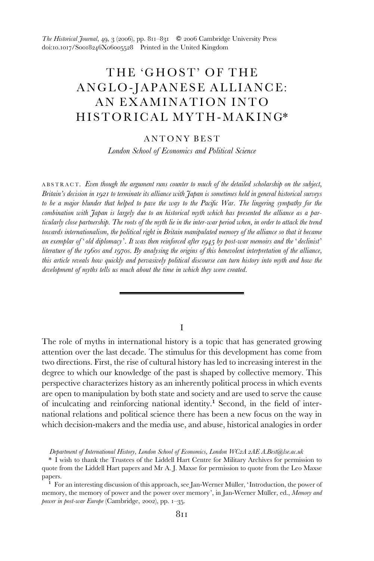The Historical Journal, 49, 3 (2006), pp. 811-831 <sup>©</sup> 2006 Cambridge University Press doi:10.1017/S0018246X06005528 Printed in the United Kingdom

## THE 'GHOST' OF THE ANGLO-JAPANESE ALLIANCE*:* AN EXAMINATION INTO H I S T O R I C A L M Y T H -M A K I N G\*

#### ANTONY BEST

London School of Economics and Political Science

ABSTRACT. Even though the argument runs counter to much of the detailed scholarship on the subject, Britain's decision in 1921 to terminate its alliance with Japan is sometimes held in general historical surveys to be a major blunder that helped to pave the way to the Pacific War. The lingering sympathy for the combination with Japan is largely due to an historical myth which has presented the alliance as a particularly close partnership. The roots of the myth lie in the inter-war period when, in order to attack the trend towards internationalism, the political right in Britain manipulated memory of the alliance so that it became an exemplar of 'old diplomacy'. It was then reinforced after  $1945$  by post-war memoirs and the 'declinist' literature of the 1960s and 1970s. By analysing the origins of this benevolent interpretation of the alliance, this article reveals how quickly and pervasively political discourse can turn history into myth and how the development of myths tells us much about the time in which they were created.

I

The role of myths in international history is a topic that has generated growing attention over the last decade. The stimulus for this development has come from two directions. First, the rise of cultural history has led to increasing interest in the degree to which our knowledge of the past is shaped by collective memory. This perspective characterizes history as an inherently political process in which events are open to manipulation by both state and society and are used to serve the cause of inculcating and reinforcing national identity.<sup>1</sup> Second, in the field of international relations and political science there has been a new focus on the way in which decision-makers and the media use, and abuse, historical analogies in order

Department of International History, London School of Economics, London WC2A 2AE A.Best@lse.ac.uk

<sup>\*</sup> I wish to thank the Trustees of the Liddell Hart Centre for Military Archives for permission to quote from the Liddell Hart papers and Mr A. J. Maxse for permission to quote from the Leo Maxse papers.

<sup>&</sup>lt;sup>1</sup> For an interesting discussion of this approach, see Jan-Werner Müller, 'Introduction, the power of memory, the memory of power and the power over memory', in Jan-Werner Müller, ed., Memory and power in post-war Europe (Cambridge, 2002), pp. 1–35.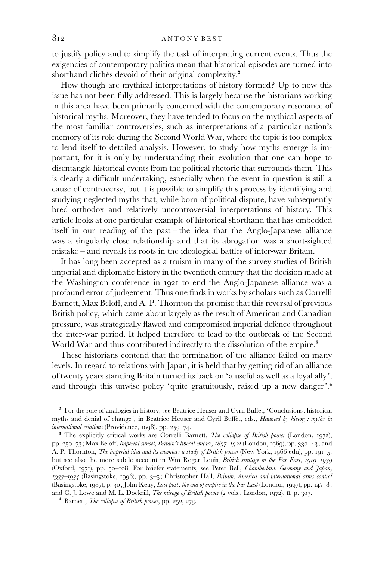to justify policy and to simplify the task of interpreting current events. Thus the exigencies of contemporary politics mean that historical episodes are turned into shorthand clichés devoid of their original complexity.<sup>2</sup>

How though are mythical interpretations of history formed? Up to now this issue has not been fully addressed. This is largely because the historians working in this area have been primarily concerned with the contemporary resonance of historical myths. Moreover, they have tended to focus on the mythical aspects of the most familiar controversies, such as interpretations of a particular nation's memory of its role during the Second World War, where the topic is too complex to lend itself to detailed analysis. However, to study how myths emerge is important, for it is only by understanding their evolution that one can hope to disentangle historical events from the political rhetoric that surrounds them. This is clearly a difficult undertaking, especially when the event in question is still a cause of controversy, but it is possible to simplify this process by identifying and studying neglected myths that, while born of political dispute, have subsequently bred orthodox and relatively uncontroversial interpretations of history. This article looks at one particular example of historical shorthand that has embedded itself in our reading of the past – the idea that the Anglo-Japanese alliance was a singularly close relationship and that its abrogation was a short-sighted mistake – and reveals its roots in the ideological battles of inter-war Britain.

It has long been accepted as a truism in many of the survey studies of British imperial and diplomatic history in the twentieth century that the decision made at the Washington conference in 1921 to end the Anglo-Japanese alliance was a profound error of judgement. Thus one finds in works by scholars such as Correlli Barnett, Max Beloff, and A. P. Thornton the premise that this reversal of previous British policy, which came about largely as the result of American and Canadian pressure, was strategically flawed and compromised imperial defence throughout the inter-war period. It helped therefore to lead to the outbreak of the Second World War and thus contributed indirectly to the dissolution of the empire.<sup>3</sup>

These historians contend that the termination of the alliance failed on many levels. In regard to relations with Japan, it is held that by getting rid of an alliance of twenty years standing Britain turned its back on 'a useful as well as a loyal ally', and through this unwise policy 'quite gratuitously, raised up a new danger'.<sup>4</sup>

<sup>2</sup> For the role of analogies in history, see Beatrice Heuser and Cyril Buffet, 'Conclusions: historical myths and denial of change', in Beatrice Heuser and Cyril Buffet, eds., *Haunted by history: myths in* international relations (Providence, 1998), pp. 259–74.

<sup>3</sup> The explicitly critical works are Correlli Barnett, *The collapse of British power* (London, 1972), pp. 250–73; Max Beloff, Imperial sunset, Britain's liberal empire, 1897–1921 (London, 1969), pp. 330–43; and A. P. Thornton, The imperial idea and its enemies: a study of British power (New York, 1966 edn), pp. 191–5, but see also the more subtle account in Wm Roger Louis, British strategy in the Far East, 1919-1939 (Oxford, 1971), pp. 50–108. For briefer statements, see Peter Bell, Chamberlain, Germany and Japan, 1933–1934 (Basingstoke, 1996), pp. 3–5; Christopher Hall, Britain, America and international arms control (Basingstoke, 1987), p. 30; John Keay, Last post: the end of empire in the Far East (London, 1997), pp. 147–8; and C. J. Lowe and M. L. Dockrill, *The mirage of British power* (2 vols., London, 1972), II, p. 303.

<sup>4</sup> Barnett, *The collapse of British power*, pp. 252, 273.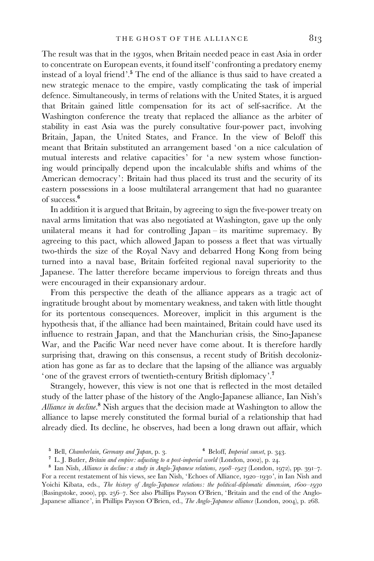The result was that in the 1930s, when Britain needed peace in east Asia in order to concentrate on European events, it found itself 'confronting a predatory enemy instead of a loyal friend'.<sup>5</sup> The end of the alliance is thus said to have created a new strategic menace to the empire, vastly complicating the task of imperial defence. Simultaneously, in terms of relations with the United States, it is argued that Britain gained little compensation for its act of self-sacrifice. At the Washington conference the treaty that replaced the alliance as the arbiter of stability in east Asia was the purely consultative four-power pact, involving Britain, Japan, the United States, and France. In the view of Beloff this meant that Britain substituted an arrangement based 'on a nice calculation of mutual interests and relative capacities' for 'a new system whose functioning would principally depend upon the incalculable shifts and whims of the American democracy': Britain had thus placed its trust and the security of its eastern possessions in a loose multilateral arrangement that had no guarantee of success.<sup>6</sup>

In addition it is argued that Britain, by agreeing to sign the five-power treaty on naval arms limitation that was also negotiated at Washington, gave up the only unilateral means it had for controlling Japan – its maritime supremacy. By agreeing to this pact, which allowed Japan to possess a fleet that was virtually two-thirds the size of the Royal Navy and debarred Hong Kong from being turned into a naval base, Britain forfeited regional naval superiority to the Japanese. The latter therefore became impervious to foreign threats and thus were encouraged in their expansionary ardour.

From this perspective the death of the alliance appears as a tragic act of ingratitude brought about by momentary weakness, and taken with little thought for its portentous consequences. Moreover, implicit in this argument is the hypothesis that, if the alliance had been maintained, Britain could have used its influence to restrain Japan, and that the Manchurian crisis, the Sino-Japanese War, and the Pacific War need never have come about. It is therefore hardly surprising that, drawing on this consensus, a recent study of British decolonization has gone as far as to declare that the lapsing of the alliance was arguably ' one of the gravest errors of twentieth-century British diplomacy'.<sup>7</sup>

Strangely, however, this view is not one that is reflected in the most detailed study of the latter phase of the history of the Anglo-Japanese alliance, Ian Nish's Alliance in decline.<sup>8</sup> Nish argues that the decision made at Washington to allow the alliance to lapse merely constituted the formal burial of a relationship that had already died. Its decline, he observes, had been a long drawn out affair, which

 $5$  Bell, *Chamberlain, Germany and Japan, p. 3.*  $6$  Beloff, *Imperial sunset, p. 343.* 

<sup>&</sup>lt;sup>7</sup> L. J. Butler, *Britain and empire: adjusting to a post-imperial world* (London, 2002), p. 24.

<sup>8</sup> Ian Nish, Alliance in decline: a study in Anglo-Japanese relations, 1908–1923 (London, 1972), pp. 391–7. For a recent restatement of his views, see Ian Nish, 'Echoes of Alliance, 1920–1930', in Ian Nish and Yoichi Kibata, eds., The history of Anglo-Japanese relations: the political-diplomatic dimension, 1600–1930 (Basingstoke, 2000), pp. 256–7. See also Phillips Payson O'Brien, 'Britain and the end of the Anglo-Japanese alliance', in Phillips Payson O'Brien, ed., The Anglo-Japanese alliance (London, 2004), p. 268.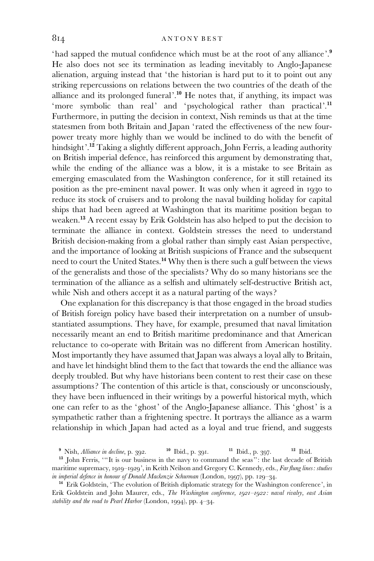'had sapped the mutual confidence which must be at the root of any alliance'.<sup>9</sup> He also does not see its termination as leading inevitably to Anglo-Japanese alienation, arguing instead that 'the historian is hard put to it to point out any striking repercussions on relations between the two countries of the death of the alliance and its prolonged funeral'.<sup>10</sup> He notes that, if anything, its impact was 'more symbolic than real' and 'psychological rather than practical'.<sup>11</sup> Furthermore, in putting the decision in context, Nish reminds us that at the time statesmen from both Britain and Japan ' rated the effectiveness of the new fourpower treaty more highly than we would be inclined to do with the benefit of hindsight'.<sup>12</sup> Taking a slightly different approach, John Ferris, a leading authority on British imperial defence, has reinforced this argument by demonstrating that, while the ending of the alliance was a blow, it is a mistake to see Britain as emerging emasculated from the Washington conference, for it still retained its position as the pre-eminent naval power. It was only when it agreed in 1930 to reduce its stock of cruisers and to prolong the naval building holiday for capital ships that had been agreed at Washington that its maritime position began to weaken.<sup>13</sup> A recent essay by Erik Goldstein has also helped to put the decision to terminate the alliance in context. Goldstein stresses the need to understand British decision-making from a global rather than simply east Asian perspective, and the importance of looking at British suspicions of France and the subsequent need to court the United States.<sup>14</sup> Why then is there such a gulf between the views of the generalists and those of the specialists ? Why do so many historians see the termination of the alliance as a selfish and ultimately self-destructive British act, while Nish and others accept it as a natural parting of the ways ?

One explanation for this discrepancy is that those engaged in the broad studies of British foreign policy have based their interpretation on a number of unsubstantiated assumptions. They have, for example, presumed that naval limitation necessarily meant an end to British maritime predominance and that American reluctance to co-operate with Britain was no different from American hostility. Most importantly they have assumed that Japan was always a loyal ally to Britain, and have let hindsight blind them to the fact that towards the end the alliance was deeply troubled. But why have historians been content to rest their case on these assumptions ? The contention of this article is that, consciously or unconsciously, they have been influenced in their writings by a powerful historical myth, which one can refer to as the 'ghost' of the Anglo-Japanese alliance. This 'ghost' is a sympathetic rather than a frightening spectre. It portrays the alliance as a warm relationship in which Japan had acted as a loyal and true friend, and suggests

<sup>&</sup>lt;sup>9</sup> Nish, *Alliance in decline*, p. 392. <sup>10</sup> Ibid., p. 391. <sup>11</sup> Ibid., p. 397. <sup>12</sup> Ibid.

<sup>&</sup>lt;sup>13</sup> John Ferris, "It is our business in the navy to command the seas": the last decade of British maritime supremacy, 1919–1929', in Keith Neilson and Gregory C. Kennedy, eds., Far flung lines: studies in imperial defence in honour of Donald Mackenzie Schurman (London, 1997), pp. 129–34.

<sup>&</sup>lt;sup>14</sup> Erik Goldstein, 'The evolution of British diplomatic strategy for the Washington conference', in Erik Goldstein and John Maurer, eds., The Washington conference, 1921–1922: naval rivalry, east Asian stability and the road to Pearl Harbor (London, 1994), pp. 4-34.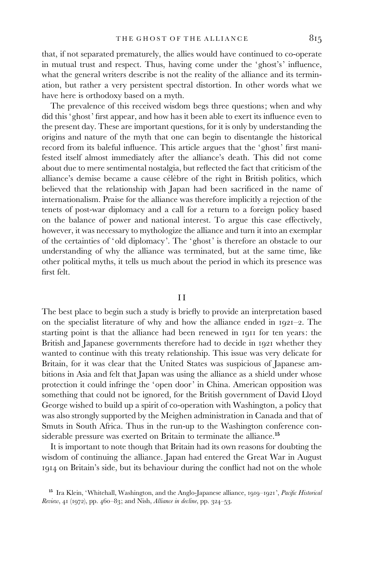that, if not separated prematurely, the allies would have continued to co-operate in mutual trust and respect. Thus, having come under the 'ghost's' influence, what the general writers describe is not the reality of the alliance and its termination, but rather a very persistent spectral distortion. In other words what we have here is orthodoxy based on a myth.

The prevalence of this received wisdom begs three questions; when and why did this 'ghost' first appear, and how has it been able to exert its influence even to the present day. These are important questions, for it is only by understanding the origins and nature of the myth that one can begin to disentangle the historical record from its baleful influence. This article argues that the 'ghost' first manifested itself almost immediately after the alliance's death. This did not come about due to mere sentimental nostalgia, but reflected the fact that criticism of the alliance's demise became a cause célèbre of the right in British politics, which believed that the relationship with Japan had been sacrificed in the name of internationalism. Praise for the alliance was therefore implicitly a rejection of the tenets of post-war diplomacy and a call for a return to a foreign policy based on the balance of power and national interest. To argue this case effectively, however, it was necessary to mythologize the alliance and turn it into an exemplar of the certainties of ' old diplomacy'. The 'ghost' is therefore an obstacle to our understanding of why the alliance was terminated, but at the same time, like other political myths, it tells us much about the period in which its presence was first felt.

#### I I

The best place to begin such a study is briefly to provide an interpretation based on the specialist literature of why and how the alliance ended in 1921–2. The starting point is that the alliance had been renewed in 1911 for ten years: the British and Japanese governments therefore had to decide in 1921 whether they wanted to continue with this treaty relationship. This issue was very delicate for Britain, for it was clear that the United States was suspicious of Japanese ambitions in Asia and felt that Japan was using the alliance as a shield under whose protection it could infringe the 'open door' in China. American opposition was something that could not be ignored, for the British government of David Lloyd George wished to build up a spirit of co-operation with Washington, a policy that was also strongly supported by the Meighen administration in Canada and that of Smuts in South Africa. Thus in the run-up to the Washington conference considerable pressure was exerted on Britain to terminate the alliance.<sup>15</sup>

It is important to note though that Britain had its own reasons for doubting the wisdom of continuing the alliance. Japan had entered the Great War in August 1914 on Britain's side, but its behaviour during the conflict had not on the whole

<sup>&</sup>lt;sup>15</sup> Ira Klein, 'Whitehall, Washington, and the Anglo-Japanese alliance, 1919–1921', *Pacific Historical* Review, 41 (1972), pp. 460–83; and Nish, Alliance in decline, pp. 324–53.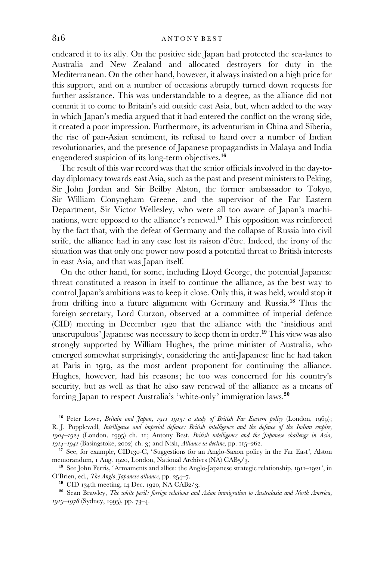endeared it to its ally. On the positive side Japan had protected the sea-lanes to Australia and New Zealand and allocated destroyers for duty in the Mediterranean. On the other hand, however, it always insisted on a high price for this support, and on a number of occasions abruptly turned down requests for further assistance. This was understandable to a degree, as the alliance did not commit it to come to Britain's aid outside east Asia, but, when added to the way in which Japan's media argued that it had entered the conflict on the wrong side, it created a poor impression. Furthermore, its adventurism in China and Siberia, the rise of pan-Asian sentiment, its refusal to hand over a number of Indian revolutionaries, and the presence of Japanese propagandists in Malaya and India engendered suspicion of its long-term objectives.<sup>16</sup>

The result of this war record was that the senior officials involved in the day-today diplomacy towards east Asia, such as the past and present ministers to Peking, Sir John Jordan and Sir Beilby Alston, the former ambassador to Tokyo, Sir William Conyngham Greene, and the supervisor of the Far Eastern Department, Sir Victor Wellesley, who were all too aware of Japan's machinations, were opposed to the alliance's renewal.<sup>17</sup> This opposition was reinforced by the fact that, with the defeat of Germany and the collapse of Russia into civil strife, the alliance had in any case lost its raison d'être. Indeed, the irony of the situation was that only one power now posed a potential threat to British interests in east Asia, and that was Japan itself.

On the other hand, for some, including Lloyd George, the potential Japanese threat constituted a reason in itself to continue the alliance, as the best way to control Japan's ambitions was to keep it close. Only this, it was held, would stop it from drifting into a future alignment with Germany and Russia.<sup>18</sup> Thus the foreign secretary, Lord Curzon, observed at a committee of imperial defence (CID) meeting in December 1920 that the alliance with the 'insidious and unscrupulous' Japanese was necessary to keep them in order.<sup>19</sup> This view was also strongly supported by William Hughes, the prime minister of Australia, who emerged somewhat surprisingly, considering the anti-Japanese line he had taken at Paris in 1919, as the most ardent proponent for continuing the alliance. Hughes, however, had his reasons; he too was concerned for his country's security, but as well as that he also saw renewal of the alliance as a means of forcing Japan to respect Australia's 'white-only' immigration laws.<sup>20</sup>

<sup>16</sup> Peter Lowe, *Britain and Japan*, 1911–1915: a study of British Far Eastern policy (London, 1969); R. J. Popplewell, Intelligence and imperial defence: British intelligence and the defence of the Indian empire, 1904–1924 (London, 1995) ch. 11; Antony Best, British intelligence and the Japanese challenge in Asia, 1914–1941 (Basingstoke, 2002) ch. 3; and Nish, Alliance in decline, pp. 115–262.

<sup>17</sup> See, for example, CID130-C, 'Suggestions for an Anglo-Saxon policy in the Far East', Alston memorandum, 1 Aug. 1920, London, National Archives (NA) CAB5/3.

<sup>18</sup> See John Ferris, 'Armaments and allies: the Anglo-Japanese strategic relationship, 1911–1921', in O'Brien, ed., The Anglo-Japanese alliance, pp. 254-7.

<sup>19</sup> CID 134th meeting, 14 Dec. 1920, NA CAB2/3.

<sup>20</sup> Sean Brawley, *The white peril: foreign relations and Asian immigration to Australasia and North America*, 1919–1978 (Sydney, 1995), pp. 73–4.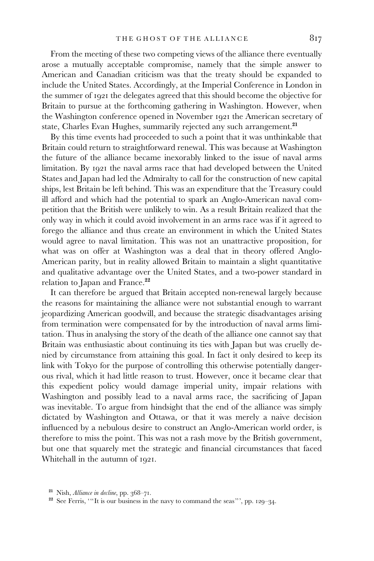From the meeting of these two competing views of the alliance there eventually arose a mutually acceptable compromise, namely that the simple answer to American and Canadian criticism was that the treaty should be expanded to include the United States. Accordingly, at the Imperial Conference in London in the summer of 1921 the delegates agreed that this should become the objective for Britain to pursue at the forthcoming gathering in Washington. However, when the Washington conference opened in November 1921 the American secretary of state, Charles Evan Hughes, summarily rejected any such arrangement.<sup>21</sup>

By this time events had proceeded to such a point that it was unthinkable that Britain could return to straightforward renewal. This was because at Washington the future of the alliance became inexorably linked to the issue of naval arms limitation. By 1921 the naval arms race that had developed between the United States and Japan had led the Admiralty to call for the construction of new capital ships, lest Britain be left behind. This was an expenditure that the Treasury could ill afford and which had the potential to spark an Anglo-American naval competition that the British were unlikely to win. As a result Britain realized that the only way in which it could avoid involvement in an arms race was if it agreed to forego the alliance and thus create an environment in which the United States would agree to naval limitation. This was not an unattractive proposition, for what was on offer at Washington was a deal that in theory offered Anglo-American parity, but in reality allowed Britain to maintain a slight quantitative and qualitative advantage over the United States, and a two-power standard in relation to Japan and France.<sup>22</sup>

It can therefore be argued that Britain accepted non-renewal largely because the reasons for maintaining the alliance were not substantial enough to warrant jeopardizing American goodwill, and because the strategic disadvantages arising from termination were compensated for by the introduction of naval arms limitation. Thus in analysing the story of the death of the alliance one cannot say that Britain was enthusiastic about continuing its ties with Japan but was cruelly denied by circumstance from attaining this goal. In fact it only desired to keep its link with Tokyo for the purpose of controlling this otherwise potentially dangerous rival, which it had little reason to trust. However, once it became clear that this expedient policy would damage imperial unity, impair relations with Washington and possibly lead to a naval arms race, the sacrificing of Japan was inevitable. To argue from hindsight that the end of the alliance was simply dictated by Washington and Ottawa, or that it was merely a naive decision influenced by a nebulous desire to construct an Anglo-American world order, is therefore to miss the point. This was not a rash move by the British government, but one that squarely met the strategic and financial circumstances that faced Whitehall in the autumn of 1921.

<sup>&</sup>lt;sup>21</sup> Nish, *Alliance in decline*, pp.  $368 - 71$ .

<sup>22</sup> See Ferris, ''' It is our business in the navy to command the seas''', pp. 129–34.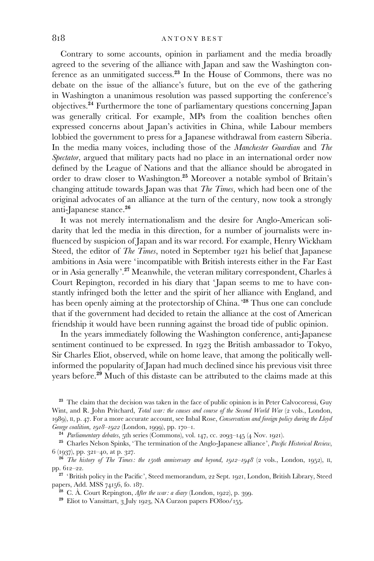Contrary to some accounts, opinion in parliament and the media broadly agreed to the severing of the alliance with Japan and saw the Washington conference as an unmitigated success.<sup>23</sup> In the House of Commons, there was no debate on the issue of the alliance's future, but on the eve of the gathering in Washington a unanimous resolution was passed supporting the conference's objectives.<sup>24</sup> Furthermore the tone of parliamentary questions concerning Japan was generally critical. For example, MPs from the coalition benches often expressed concerns about Japan's activities in China, while Labour members lobbied the government to press for a Japanese withdrawal from eastern Siberia. In the media many voices, including those of the Manchester Guardian and The Spectator, argued that military pacts had no place in an international order now defined by the League of Nations and that the alliance should be abrogated in order to draw closer to Washington.<sup>25</sup> Moreover a notable symbol of Britain's changing attitude towards Japan was that The Times, which had been one of the original advocates of an alliance at the turn of the century, now took a strongly anti-Japanese stance.<sup>26</sup>

It was not merely internationalism and the desire for Anglo-American solidarity that led the media in this direction, for a number of journalists were influenced by suspicion of Japan and its war record. For example, Henry Wickham Steed, the editor of *The Times*, noted in September 1921 his belief that Japanese ambitions in Asia were 'incompatible with British interests either in the Far East or in Asia generally'.<sup>27</sup> Meanwhile, the veteran military correspondent, Charles à Court Repington, recorded in his diary that 'Japan seems to me to have constantly infringed both the letter and the spirit of her alliance with England, and has been openly aiming at the protectorship of China.<sup>28</sup> Thus one can conclude that if the government had decided to retain the alliance at the cost of American friendship it would have been running against the broad tide of public opinion.

In the years immediately following the Washington conference, anti-Japanese sentiment continued to be expressed. In 1923 the British ambassador to Tokyo, Sir Charles Eliot, observed, while on home leave, that among the politically wellinformed the popularity of Japan had much declined since his previous visit three years before.<sup>29</sup> Much of this distaste can be attributed to the claims made at this

<sup>23</sup> The claim that the decision was taken in the face of public opinion is in Peter Calvocoressi, Guy Wint, and R. John Pritchard, Total war: the causes and course of the Second World War (2 vols., London, 1989), II, p. 47. For a more accurate account, see Inbal Rose, Conservatism and foreign policy during the Lloyd George coalition, 1918–1922 (London, 1999), pp. 170–1.

<sup>24</sup> Parliamentary debates, 5th series (Commons), vol. 147, cc. 2093-145 (4 Nov. 1921).

<sup>25</sup> Charles Nelson Spinks, 'The termination of the Anglo-Japanese alliance', Pacific Historical Review, 6 (1937), pp. 321–40, at p. 327.

 $26$  The history of The Times: the 150th anniversary and beyond, 1912–1948 (2 vols., London, 1952), II, pp. 612–22.

<sup>27</sup> 'British policy in the Pacific', Steed memorandum, 22 Sept. 1921, London, British Library, Steed papers, Add. MSS 74156, fo. 187.

<sup>28</sup> C. A. Court Repington, *After the war: a diary* (London, 1922), p. 399.

<sup>29</sup> Eliot to Vansittart, 3 July 1923, NA Curzon papers FO800/155.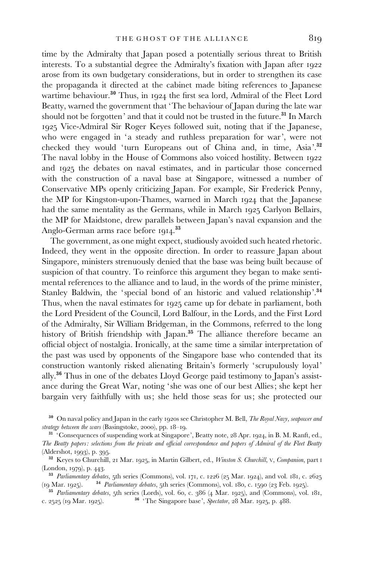time by the Admiralty that Japan posed a potentially serious threat to British interests. To a substantial degree the Admiralty's fixation with Japan after 1922 arose from its own budgetary considerations, but in order to strengthen its case the propaganda it directed at the cabinet made biting references to Japanese wartime behaviour.<sup>30</sup> Thus, in 1924 the first sea lord, Admiral of the Fleet Lord Beatty, warned the government that 'The behaviour of Japan during the late war should not be forgotten' and that it could not be trusted in the future.<sup>31</sup> In March 1925 Vice-Admiral Sir Roger Keyes followed suit, noting that if the Japanese, who were engaged in 'a steady and ruthless preparation for war', were not checked they would 'turn Europeans out of China and, in time, Asia'.<sup>32</sup> The naval lobby in the House of Commons also voiced hostility. Between 1922 and 1925 the debates on naval estimates, and in particular those concerned with the construction of a naval base at Singapore, witnessed a number of Conservative MPs openly criticizing Japan. For example, Sir Frederick Penny, the MP for Kingston-upon-Thames, warned in March 1924 that the Japanese had the same mentality as the Germans, while in March 1925 Carlyon Bellairs, the MP for Maidstone, drew parallels between Japan's naval expansion and the Anglo-German arms race before 1914.<sup>33</sup>

The government, as one might expect, studiously avoided such heated rhetoric. Indeed, they went in the opposite direction. In order to reassure Japan about Singapore, ministers strenuously denied that the base was being built because of suspicion of that country. To reinforce this argument they began to make sentimental references to the alliance and to laud, in the words of the prime minister, Stanley Baldwin, the 'special bond of an historic and valued relationship'.<sup>34</sup> Thus, when the naval estimates for 1925 came up for debate in parliament, both the Lord President of the Council, Lord Balfour, in the Lords, and the First Lord of the Admiralty, Sir William Bridgeman, in the Commons, referred to the long history of British friendship with Japan.<sup>35</sup> The alliance therefore became an official object of nostalgia. Ironically, at the same time a similar interpretation of the past was used by opponents of the Singapore base who contended that its construction wantonly risked alienating Britain's formerly ' scrupulously loyal' ally.<sup>36</sup> Thus in one of the debates Lloyd George paid testimony to Japan's assistance during the Great War, noting ' she was one of our best Allies; she kept her bargain very faithfully with us; she held those seas for us; she protected our

<sup>30</sup> On naval policy and Japan in the early 1920s see Christopher M. Bell, The Royal Navy, seapower and strategy between the wars (Basingstoke, 2000), pp. 18–19.

<sup>&</sup>lt;sup>31</sup> 'Consequences of suspending work at Singapore', Beatty note, 28 Apr. 1924, in B. M. Ranft, ed., The Beatty papers: selections from the private and official correspondence and papers of Admiral of the Fleet Beatty (Aldershot, 1993), p. 395.

<sup>&</sup>lt;sup>32</sup> Keyes to Churchill, 21 Mar. 1925, in Martin Gilbert, ed., Winston S. Churchill, V, Companion, part I (London, 1979), p. 443.

<sup>&</sup>lt;sup>33</sup> Parliamentary debates, 5th series (Commons), vol. 171, c. 1226 (25 Mar. 1924), and vol. 181, c. 2625 (19 Mar. 1925). <sup>34</sup> Parliamentary debates, 5th series (Commons), vol. 180, c. 1590 (23 Feb. 1925).

<sup>&</sup>lt;sup>35</sup> Parliamentary debates, 5th series (Lords), vol. 60, c. 386 (4 Mar. 1925), and (Commons), vol. 181, c. 2525 (19 Mar. 1925). <sup>36</sup> 'The Singapore base', Spectator, 28 Mar. 1925, p. 488.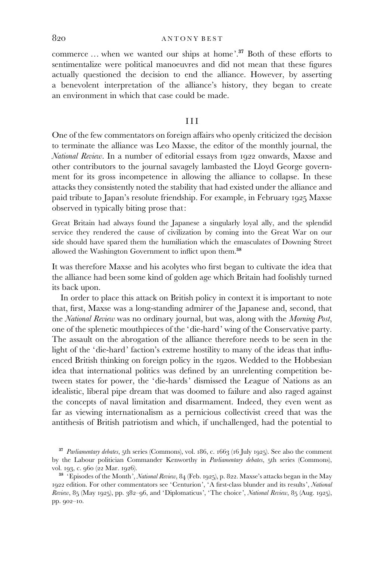commerce ... when we wanted our ships at home'.<sup>37</sup> Both of these efforts to sentimentalize were political manoeuvres and did not mean that these figures actually questioned the decision to end the alliance. However, by asserting a benevolent interpretation of the alliance's history, they began to create an environment in which that case could be made.

#### III

One of the few commentators on foreign affairs who openly criticized the decision to terminate the alliance was Leo Maxse, the editor of the monthly journal, the National Review. In a number of editorial essays from 1922 onwards, Maxse and other contributors to the journal savagely lambasted the Lloyd George government for its gross incompetence in allowing the alliance to collapse. In these attacks they consistently noted the stability that had existed under the alliance and paid tribute to Japan's resolute friendship. For example, in February 1925 Maxse observed in typically biting prose that:

Great Britain had always found the Japanese a singularly loyal ally, and the splendid service they rendered the cause of civilization by coming into the Great War on our side should have spared them the humiliation which the emasculates of Downing Street allowed the Washington Government to inflict upon them.<sup>38</sup>

It was therefore Maxse and his acolytes who first began to cultivate the idea that the alliance had been some kind of golden age which Britain had foolishly turned its back upon.

In order to place this attack on British policy in context it is important to note that, first, Maxse was a long-standing admirer of the Japanese and, second, that the National Review was no ordinary journal, but was, along with the Morning Post, one of the splenetic mouthpieces of the 'die-hard' wing of the Conservative party. The assault on the abrogation of the alliance therefore needs to be seen in the light of the 'die-hard' faction's extreme hostility to many of the ideas that influenced British thinking on foreign policy in the 1920s. Wedded to the Hobbesian idea that international politics was defined by an unrelenting competition between states for power, the 'die-hards' dismissed the League of Nations as an idealistic, liberal pipe dream that was doomed to failure and also raged against the concepts of naval limitation and disarmament. Indeed, they even went as far as viewing internationalism as a pernicious collectivist creed that was the antithesis of British patriotism and which, if unchallenged, had the potential to

<sup>37</sup> Parliamentary debates, 5th series (Commons), vol. 186, c. 1663 (16 July 1925). See also the comment by the Labour politician Commander Kenworthy in *Parliamentary debates*, 5th series (Commons), vol. 193, c. 960 (22 Mar. 1926).

<sup>38</sup> 'Episodes of the Month', National Review, 84 (Feb. 1925), p. 822. Maxse's attacks began in the May 1922 edition. For other commentators see 'Centurion', 'A first-class blunder and its results', National Review, 85 (May 1925), pp. 382–96, and 'Diplomaticus', 'The choice', National Review, 85 (Aug. 1925), pp. 902–10.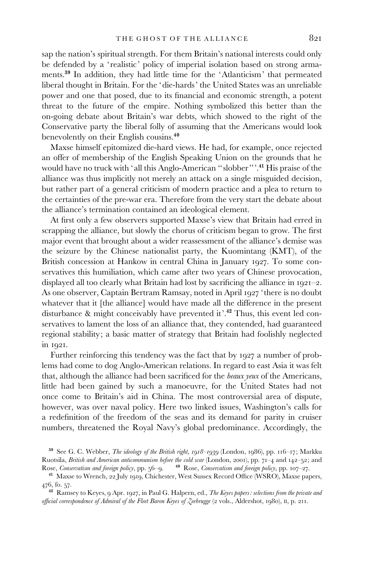sap the nation's spiritual strength. For them Britain's national interests could only be defended by a 'realistic' policy of imperial isolation based on strong armaments.<sup>39</sup> In addition, they had little time for the 'Atlanticism' that permeated liberal thought in Britain. For the 'die-hards' the United States was an unreliable power and one that posed, due to its financial and economic strength, a potent threat to the future of the empire. Nothing symbolized this better than the on-going debate about Britain's war debts, which showed to the right of the Conservative party the liberal folly of assuming that the Americans would look benevolently on their English cousins.<sup>40</sup>

Maxse himself epitomized die-hard views. He had, for example, once rejected an offer of membership of the English Speaking Union on the grounds that he would have no truck with 'all this Anglo-American '' slobber'''.<sup>41</sup> His praise of the alliance was thus implicitly not merely an attack on a single misguided decision, but rather part of a general criticism of modern practice and a plea to return to the certainties of the pre-war era. Therefore from the very start the debate about the alliance's termination contained an ideological element.

At first only a few observers supported Maxse's view that Britain had erred in scrapping the alliance, but slowly the chorus of criticism began to grow. The first major event that brought about a wider reassessment of the alliance's demise was the seizure by the Chinese nationalist party, the Kuomintang (KMT), of the British concession at Hankow in central China in January 1927. To some conservatives this humiliation, which came after two years of Chinese provocation, displayed all too clearly what Britain had lost by sacrificing the alliance in 1921–2. As one observer, Captain Bertram Ramsay, noted in April 1927 'there is no doubt whatever that it [the alliance] would have made all the difference in the present disturbance & might conceivably have prevented it'.<sup>42</sup> Thus, this event led conservatives to lament the loss of an alliance that, they contended, had guaranteed regional stability; a basic matter of strategy that Britain had foolishly neglected in 1921.

Further reinforcing this tendency was the fact that by 1927 a number of problems had come to dog Anglo-American relations. In regard to east Asia it was felt that, although the alliance had been sacrificed for the beaux yeux of the Americans, little had been gained by such a manoeuvre, for the United States had not once come to Britain's aid in China. The most controversial area of dispute, however, was over naval policy. Here two linked issues, Washington's calls for a redefinition of the freedom of the seas and its demand for parity in cruiser numbers, threatened the Royal Navy's global predominance. Accordingly, the

<sup>&</sup>lt;sup>39</sup> See G. C. Webber, *The ideology of the British right, 1918–1939* (London, 1986), pp. 116–17; Markku Ruotsila, British and American anticommunism before the cold war (London, 2001), pp. 71–4 and 142–52; and Rose, Conservatism and foreign policy, pp. 56-9. 40 Rose, Conservatism and foreign policy, pp. 107-27.

<sup>41</sup> Maxse to Wrench, 22 July 1919, Chichester, West Sussex Record Office (WSRO), Maxse papers, 476, fo. 57.

<sup>&</sup>lt;sup>42</sup> Ramsey to Keyes, 9 Apr. 1927, in Paul G. Halpern, ed., The Keyes papers: selections from the private and official correspondence of Admiral of the Fleet Baron Keyes of Zeebrugge (2 vols., Aldershot, 1980), II, p. 211.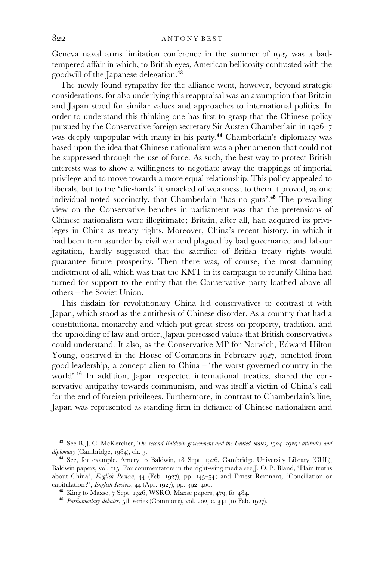Geneva naval arms limitation conference in the summer of 1927 was a badtempered affair in which, to British eyes, American bellicosity contrasted with the goodwill of the Japanese delegation.<sup>43</sup>

The newly found sympathy for the alliance went, however, beyond strategic considerations, for also underlying this reappraisal was an assumption that Britain and Japan stood for similar values and approaches to international politics. In order to understand this thinking one has first to grasp that the Chinese policy pursued by the Conservative foreign secretary Sir Austen Chamberlain in 1926–7 was deeply unpopular with many in his party.<sup>44</sup> Chamberlain's diplomacy was based upon the idea that Chinese nationalism was a phenomenon that could not be suppressed through the use of force. As such, the best way to protect British interests was to show a willingness to negotiate away the trappings of imperial privilege and to move towards a more equal relationship. This policy appealed to liberals, but to the 'die-hards' it smacked of weakness; to them it proved, as one individual noted succinctly, that Chamberlain 'has no guts'.<sup>45</sup> The prevailing view on the Conservative benches in parliament was that the pretensions of Chinese nationalism were illegitimate; Britain, after all, had acquired its privileges in China as treaty rights. Moreover, China's recent history, in which it had been torn asunder by civil war and plagued by bad governance and labour agitation, hardly suggested that the sacrifice of British treaty rights would guarantee future prosperity. Then there was, of course, the most damning indictment of all, which was that the KMT in its campaign to reunify China had turned for support to the entity that the Conservative party loathed above all others – the Soviet Union.

This disdain for revolutionary China led conservatives to contrast it with Japan, which stood as the antithesis of Chinese disorder. As a country that had a constitutional monarchy and which put great stress on property, tradition, and the upholding of law and order, Japan possessed values that British conservatives could understand. It also, as the Conservative MP for Norwich, Edward Hilton Young, observed in the House of Commons in February 1927, benefited from good leadership, a concept alien to China – 'the worst governed country in the world'.<sup>46</sup> In addition, Japan respected international treaties, shared the conservative antipathy towards communism, and was itself a victim of China's call for the end of foreign privileges. Furthermore, in contrast to Chamberlain's line, Japan was represented as standing firm in defiance of Chinese nationalism and

<sup>&</sup>lt;sup>43</sup> See B. J. C. McKercher, *The second Baldwin government and the United States, 1924–1929: attitudes and* diplomacy (Cambridge, 1984), ch. 3.

<sup>44</sup> See, for example, Amery to Baldwin, 18 Sept. 1926, Cambridge University Library (CUL), Baldwin papers, vol. 115. For commentators in the right-wing media see J. O. P. Bland, 'Plain truths about China', *English Review*, 44 (Feb. 1927), pp. 145–54; and Ernest Remnant, 'Conciliation or capitulation?', English Review, 44 (Apr. 1927), pp. 392-400.

<sup>45</sup> King to Maxse, 7 Sept. 1926, WSRO, Maxse papers, 479, fo. 484.

<sup>46</sup> Parliamentary debates, 5th series (Commons), vol. 202, c. 341 (10 Feb. 1927).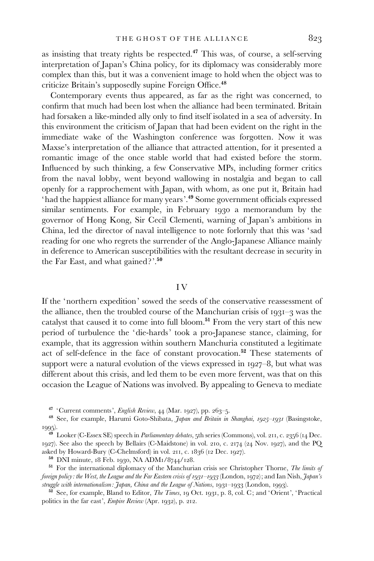as insisting that treaty rights be respected.<sup>47</sup> This was, of course, a self-serving interpretation of Japan's China policy, for its diplomacy was considerably more complex than this, but it was a convenient image to hold when the object was to criticize Britain's supposedly supine Foreign Office.<sup>48</sup>

Contemporary events thus appeared, as far as the right was concerned, to confirm that much had been lost when the alliance had been terminated. Britain had forsaken a like-minded ally only to find itself isolated in a sea of adversity. In this environment the criticism of Japan that had been evident on the right in the immediate wake of the Washington conference was forgotten. Now it was Maxse's interpretation of the alliance that attracted attention, for it presented a romantic image of the once stable world that had existed before the storm. Influenced by such thinking, a few Conservative MPs, including former critics from the naval lobby, went beyond wallowing in nostalgia and began to call openly for a rapprochement with Japan, with whom, as one put it, Britain had 'had the happiest alliance for many years'.<sup>49</sup> Some government officials expressed similar sentiments. For example, in February 1930 a memorandum by the governor of Hong Kong, Sir Cecil Clementi, warning of Japan's ambitions in China, led the director of naval intelligence to note forlornly that this was ' sad reading for one who regrets the surrender of the Anglo-Japanese Alliance mainly in deference to American susceptibilities with the resultant decrease in security in the Far East, and what gained?'.<sup>50</sup>

#### I V

If the 'northern expedition' sowed the seeds of the conservative reassessment of the alliance, then the troubled course of the Manchurian crisis of 1931–3 was the catalyst that caused it to come into full bloom.<sup>51</sup> From the very start of this new period of turbulence the 'die-hards' took a pro-Japanese stance, claiming, for example, that its aggression within southern Manchuria constituted a legitimate act of self-defence in the face of constant provocation.<sup>52</sup> These statements of support were a natural evolution of the views expressed in 1927–8, but what was different about this crisis, and led them to be even more fervent, was that on this occasion the League of Nations was involved. By appealing to Geneva to mediate

<sup>47</sup> 'Current comments', *English Review*,  $44$  (Mar. 1927), pp. 263–5.

<sup>48</sup> See, for example, Harumi Goto-Shibata, *Japan and Britain in Shanghai*, 1925–1931 (Basingstoke, 1995).

 $^{49}$  Looker (C-Essex SE) speech in *Parliamentary debates*, 5th series (Commons), vol. 211, c. 2356 (14 Dec. 1927). See also the speech by Bellairs (C-Maidstone) in vol. 210, c. 2174 (24 Nov. 1927), and the PQ asked by Howard-Bury (C-Chelmsford) in vol. 211, c. 1836 (12 Dec. 1927).

<sup>50</sup> DNI minute, 18 Feb. 1930, NA ADM1/8744/128.

 $51$  For the international diplomacy of the Manchurian crisis see Christopher Thorne, The limits of foreign policy: the West, the League and the Far Eastern crisis of 1931–1933 (London, 1972); and Ian Nish, Japan's struggle with internationalism: Japan, China and the League of Nations, 1931-1933 (London, 1993).

<sup>52</sup> See, for example, Bland to Editor, *The Times*, 19 Oct. 1931, p. 8, col. C; and 'Orient', 'Practical politics in the far east', Empire Review (Apr. 1932), p. 212.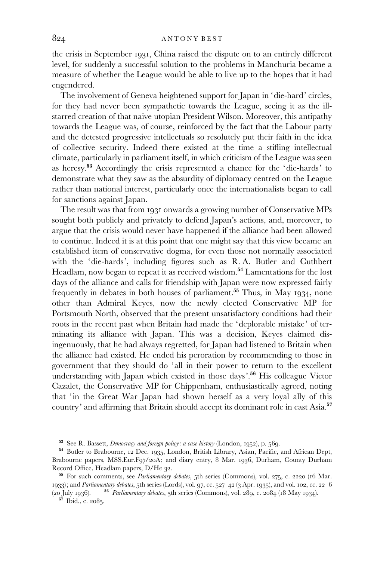the crisis in September 1931, China raised the dispute on to an entirely different level, for suddenly a successful solution to the problems in Manchuria became a measure of whether the League would be able to live up to the hopes that it had engendered.

The involvement of Geneva heightened support for Japan in 'die-hard' circles, for they had never been sympathetic towards the League, seeing it as the illstarred creation of that naive utopian President Wilson. Moreover, this antipathy towards the League was, of course, reinforced by the fact that the Labour party and the detested progressive intellectuals so resolutely put their faith in the idea of collective security. Indeed there existed at the time a stifling intellectual climate, particularly in parliament itself, in which criticism of the League was seen as heresy.<sup>53</sup> Accordingly the crisis represented a chance for the 'die-hards' to demonstrate what they saw as the absurdity of diplomacy centred on the League rather than national interest, particularly once the internationalists began to call for sanctions against Japan.

The result was that from 1931 onwards a growing number of Conservative MPs sought both publicly and privately to defend Japan's actions, and, moreover, to argue that the crisis would never have happened if the alliance had been allowed to continue. Indeed it is at this point that one might say that this view became an established item of conservative dogma, for even those not normally associated with the 'die-hards', including figures such as R. A. Butler and Cuthbert Headlam, now began to repeat it as received wisdom.<sup>54</sup> Lamentations for the lost days of the alliance and calls for friendship with Japan were now expressed fairly frequently in debates in both houses of parliament.<sup>55</sup> Thus, in May 1934, none other than Admiral Keyes, now the newly elected Conservative MP for Portsmouth North, observed that the present unsatisfactory conditions had their roots in the recent past when Britain had made the 'deplorable mistake' of terminating its alliance with Japan. This was a decision, Keyes claimed disingenuously, that he had always regretted, for Japan had listened to Britain when the alliance had existed. He ended his peroration by recommending to those in government that they should do 'all in their power to return to the excellent understanding with Japan which existed in those days'.<sup>56</sup> His colleague Victor Cazalet, the Conservative MP for Chippenham, enthusiastically agreed, noting that 'in the Great War Japan had shown herself as a very loyal ally of this country' and affirming that Britain should accept its dominant role in east Asia.<sup>57</sup>

<sup>53</sup> See R. Bassett, Democracy and foreign policy: a case history (London, 1952), p. 569.

<sup>54</sup> Butler to Brabourne, 12 Dec. 1935, London, British Library, Asian, Pacific, and African Dept, Brabourne papers, MSS.Eur.F97/20A; and diary entry, 8 Mar. 1936, Durham, County Durham Record Office, Headlam papers, D/He 32.

<sup>&</sup>lt;sup>55</sup> For such comments, see *Parliamentary debates*, 5th series (Commons), vol. 275, c. 2220 (16 Mar. 1933); and Parliamentary debates, 5th series (Lords), vol. 97, cc. 527-42 (3 Apr. 1935), and vol. 102, cc. 22-6 (20 July 1936). <sup>56</sup> Parliamentary debates, 5th series (Commons), vol. 289, c. 2084 (18 May 1934).

 $57$  Ibid., c. 2085.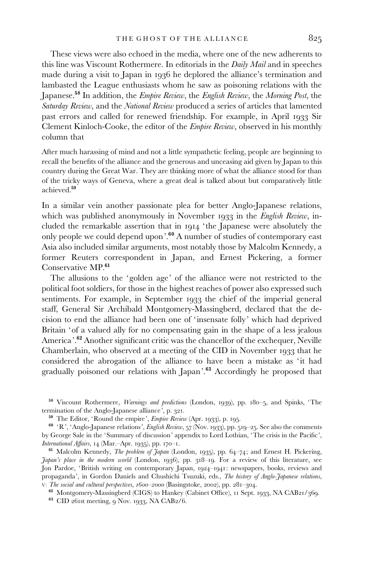These views were also echoed in the media, where one of the new adherents to this line was Viscount Rothermere. In editorials in the Daily Mail and in speeches made during a visit to Japan in 1936 he deplored the alliance's termination and lambasted the League enthusiasts whom he saw as poisoning relations with the Japanese.<sup>58</sup> In addition, the *Empire Review*, the *English Review*, the *Morning Post*, the Saturday Review, and the National Review produced a series of articles that lamented past errors and called for renewed friendship. For example, in April 1933 Sir Clement Kinloch-Cooke, the editor of the Empire Review, observed in his monthly column that

After much harassing of mind and not a little sympathetic feeling, people are beginning to recall the benefits of the alliance and the generous and unceasing aid given by Japan to this country during the Great War. They are thinking more of what the alliance stood for than of the tricky ways of Geneva, where a great deal is talked about but comparatively little achieved.<sup>59</sup>

In a similar vein another passionate plea for better Anglo-Japanese relations, which was published anonymously in November 1933 in the English Review, included the remarkable assertion that in 1914 'the Japanese were absolutely the only people we could depend upon'.<sup>60</sup> A number of studies of contemporary east Asia also included similar arguments, most notably those by Malcolm Kennedy, a former Reuters correspondent in Japan, and Ernest Pickering, a former Conservative MP.<sup>61</sup>

The allusions to the 'golden age' of the alliance were not restricted to the political foot soldiers, for those in the highest reaches of power also expressed such sentiments. For example, in September 1933 the chief of the imperial general staff, General Sir Archibald Montgomery-Massingberd, declared that the decision to end the alliance had been one of 'insensate folly' which had deprived Britain ' of a valued ally for no compensating gain in the shape of a less jealous America'.<sup>62</sup> Another significant critic was the chancellor of the exchequer, Neville Chamberlain, who observed at a meeting of the CID in November 1933 that he considered the abrogation of the alliance to have been a mistake as 'it had gradually poisoned our relations with Japan'.<sup>63</sup> Accordingly he proposed that

<sup>58</sup> Viscount Rothermere, Warnings and predictions (London, 1939), pp. 180–5, and Spinks, 'The termination of the Anglo-Japanese alliance', p. 321.

<sup>59</sup> The Editor, 'Round the empire', *Empire Review* (Apr. 1933), p. 195.

<sup>60</sup> 'R', 'Anglo-Japanese relations', English Review, 57 (Nov. 1933), pp. 519–25. See also the comments by George Sale in the 'Summary of discussion' appendix to Lord Lothian, 'The crisis in the Pacific', International Affairs, 14 (Mar.–Apr. 1935), pp. 170–1.

 $61$  Malcolm Kennedy, The problem of Japan (London, 1935), pp.  $64-74$ ; and Ernest H. Pickering, Japan's place in the modern world (London, 1936), pp. 318–19. For a review of this literature, see Jon Pardoe, 'British writing on contemporary Japan, 1924–1941: newspapers, books, reviews and propaganda', in Gordon Daniels and Chushichi Tsuzuki, eds., The history of Anglo-Japanese relations, V: The social and cultural perspectives, 1600–2000 (Basingstoke, 2002), pp. 281–304.

<sup>62</sup> Montgomery-Massingberd (CIGS) to Hankey (Cabinet Office), 11 Sept. 1933, NA CAB21/369.

<sup>63</sup> CID 261st meeting, 9 Nov. 1933, NA CAB2/6.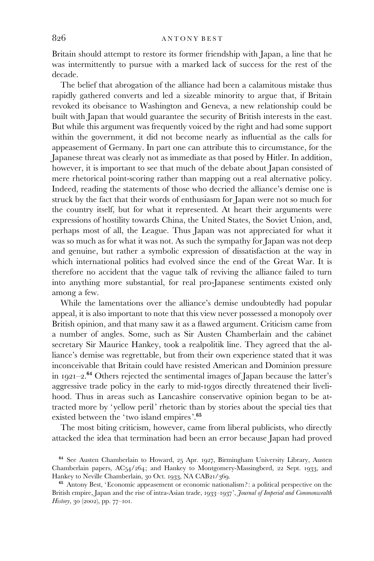Britain should attempt to restore its former friendship with Japan, a line that he was intermittently to pursue with a marked lack of success for the rest of the decade.

The belief that abrogation of the alliance had been a calamitous mistake thus rapidly gathered converts and led a sizeable minority to argue that, if Britain revoked its obeisance to Washington and Geneva, a new relationship could be built with Japan that would guarantee the security of British interests in the east. But while this argument was frequently voiced by the right and had some support within the government, it did not become nearly as influential as the calls for appeasement of Germany. In part one can attribute this to circumstance, for the Japanese threat was clearly not as immediate as that posed by Hitler. In addition, however, it is important to see that much of the debate about Japan consisted of mere rhetorical point-scoring rather than mapping out a real alternative policy. Indeed, reading the statements of those who decried the alliance's demise one is struck by the fact that their words of enthusiasm for Japan were not so much for the country itself, but for what it represented. At heart their arguments were expressions of hostility towards China, the United States, the Soviet Union, and, perhaps most of all, the League. Thus Japan was not appreciated for what it was so much as for what it was not. As such the sympathy for Japan was not deep and genuine, but rather a symbolic expression of dissatisfaction at the way in which international politics had evolved since the end of the Great War. It is therefore no accident that the vague talk of reviving the alliance failed to turn into anything more substantial, for real pro-Japanese sentiments existed only among a few.

While the lamentations over the alliance's demise undoubtedly had popular appeal, it is also important to note that this view never possessed a monopoly over British opinion, and that many saw it as a flawed argument. Criticism came from a number of angles. Some, such as Sir Austen Chamberlain and the cabinet secretary Sir Maurice Hankey, took a realpolitik line. They agreed that the alliance's demise was regrettable, but from their own experience stated that it was inconceivable that Britain could have resisted American and Dominion pressure in 1921–2.<sup>64</sup> Others rejected the sentimental images of Japan because the latter's aggressive trade policy in the early to mid-1930s directly threatened their livelihood. Thus in areas such as Lancashire conservative opinion began to be attracted more by 'yellow peril' rhetoric than by stories about the special ties that existed between the 'two island empires'.<sup>65</sup>

The most biting criticism, however, came from liberal publicists, who directly attacked the idea that termination had been an error because Japan had proved

<sup>64</sup> See Austen Chamberlain to Howard, 25 Apr. 1927, Birmingham University Library, Austen Chamberlain papers, AC54/264; and Hankey to Montgomery-Massingberd, 22 Sept. 1933, and Hankey to Neville Chamberlain, 30 Oct. 1933, NA CAB21/369.

<sup>65</sup> Antony Best, 'Economic appeasement or economic nationalism?: a political perspective on the British empire, Japan and the rise of intra-Asian trade, 1933–1937', Journal of Imperial and Commonwealth History, 30 (2002), pp. 77-101.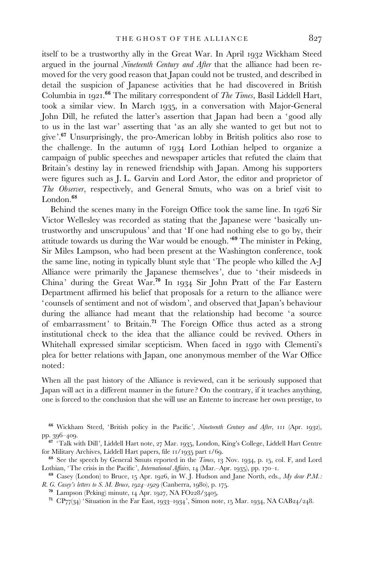itself to be a trustworthy ally in the Great War. In April 1932 Wickham Steed argued in the journal *Nineteenth Century and After* that the alliance had been removed for the very good reason that Japan could not be trusted, and described in detail the suspicion of Japanese activities that he had discovered in British Columbia in 1921.<sup>66</sup> The military correspondent of *The Times*, Basil Liddell Hart, took a similar view. In March 1935, in a conversation with Major-General John Dill, he refuted the latter's assertion that Japan had been a 'good ally to us in the last war' asserting that 'as an ally she wanted to get but not to give'.<sup>67</sup> Unsurprisingly, the pro-American lobby in British politics also rose to the challenge. In the autumn of 1934 Lord Lothian helped to organize a campaign of public speeches and newspaper articles that refuted the claim that Britain's destiny lay in renewed friendship with Japan. Among his supporters were figures such as J. L. Garvin and Lord Astor, the editor and proprietor of The Observer, respectively, and General Smuts, who was on a brief visit to London.<sup>68</sup>

Behind the scenes many in the Foreign Office took the same line. In 1926 Sir Victor Wellesley was recorded as stating that the Japanese were 'basically untrustworthy and unscrupulous' and that ' If one had nothing else to go by, their attitude towards us during the War would be enough.'<sup>69</sup> The minister in Peking, Sir Miles Lampson, who had been present at the Washington conference, took the same line, noting in typically blunt style that 'The people who killed the A-J Alliance were primarily the Japanese themselves', due to 'their misdeeds in China' during the Great War.<sup>70</sup> In 1934 Sir John Pratt of the Far Eastern Department affirmed his belief that proposals for a return to the alliance were 'counsels of sentiment and not of wisdom', and observed that Japan's behaviour during the alliance had meant that the relationship had become 'a source of embarrassment' to Britain.<sup>71</sup> The Foreign Office thus acted as a strong institutional check to the idea that the alliance could be revived. Others in Whitehall expressed similar scepticism. When faced in 1930 with Clementi's plea for better relations with Japan, one anonymous member of the War Office noted:

When all the past history of the Alliance is reviewed, can it be seriously supposed that Japan will act in a different manner in the future ? On the contrary, if it teaches anything, one is forced to the conclusion that she will use an Entente to increase her own prestige, to

<sup>&</sup>lt;sup>66</sup> Wickham Steed, 'British policy in the Pacific', *Nineteenth Century and After*, 111 (Apr. 1932), pp. 396–409.

<sup>&</sup>lt;sup>67</sup> 'Talk with Dill', Liddell Hart note, 27 Mar. 1935, London, King's College, Liddell Hart Centre for Military Archives, Liddell Hart papers, file 11/1935 part 1/69.

 $68$  See the speech by General Smuts reported in the *Times*, 13 Nov. 1934, p. 15, col. F, and Lord Lothian, 'The crisis in the Pacific', International Affairs, 14 (Mar.-Apr. 1935), pp. 170-1.

<sup>&</sup>lt;sup>69</sup> Casey (London) to Bruce, 15 Apr. 1926, in W. J. Hudson and Jane North, eds., My dear P.M.: R. G. Casey's letters to S. M. Bruce, 1924–1929 (Canberra, 1980), p. 175.

 $70$  Lampson (Peking) minute, 14 Apr. 1927, NA FO228/3405.

<sup>&</sup>lt;sup>71</sup> CP77(34) 'Situation in the Far East, 1933–1934', Simon note, 15 Mar. 1934, NA CAB24/248.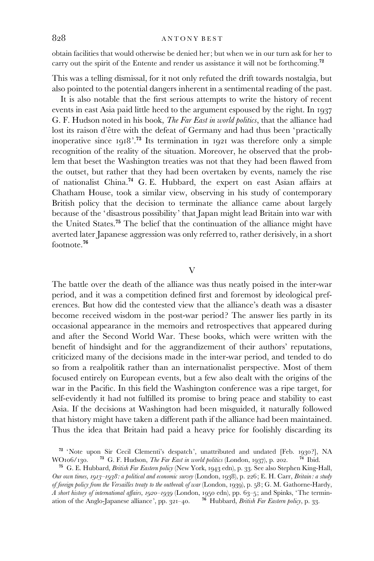obtain facilities that would otherwise be denied her; but when we in our turn ask for her to carry out the spirit of the Entente and render us assistance it will not be forthcoming.<sup>72</sup>

This was a telling dismissal, for it not only refuted the drift towards nostalgia, but also pointed to the potential dangers inherent in a sentimental reading of the past.

It is also notable that the first serious attempts to write the history of recent events in east Asia paid little heed to the argument espoused by the right. In 1937 G. F. Hudson noted in his book, *The Far East in world politics*, that the alliance had lost its raison d'être with the defeat of Germany and had thus been 'practically inoperative since 1918'.<sup>73</sup> Its termination in 1921 was therefore only a simple recognition of the reality of the situation. Moreover, he observed that the problem that beset the Washington treaties was not that they had been flawed from the outset, but rather that they had been overtaken by events, namely the rise of nationalist China.<sup>74</sup> G. E. Hubbard, the expert on east Asian affairs at Chatham House, took a similar view, observing in his study of contemporary British policy that the decision to terminate the alliance came about largely because of the 'disastrous possibility' that Japan might lead Britain into war with the United States.<sup>75</sup> The belief that the continuation of the alliance might have averted later Japanese aggression was only referred to, rather derisively, in a short footnote.<sup>76</sup>

#### V

The battle over the death of the alliance was thus neatly poised in the inter-war period, and it was a competition defined first and foremost by ideological preferences. But how did the contested view that the alliance's death was a disaster become received wisdom in the post-war period ? The answer lies partly in its occasional appearance in the memoirs and retrospectives that appeared during and after the Second World War. These books, which were written with the benefit of hindsight and for the aggrandizement of their authors' reputations, criticized many of the decisions made in the inter-war period, and tended to do so from a realpolitik rather than an internationalist perspective. Most of them focused entirely on European events, but a few also dealt with the origins of the war in the Pacific. In this field the Washington conference was a ripe target, for self-evidently it had not fulfilled its promise to bring peace and stability to east Asia. If the decisions at Washington had been misguided, it naturally followed that history might have taken a different path if the alliance had been maintained. Thus the idea that Britain had paid a heavy price for foolishly discarding its

<sup>72</sup> 'Note upon Sir Cecil Clementi's despatch', unattributed and undated [Feb. 1930?], NA O106/130. <sup>73</sup> G. F. Hudson. *The Far East in world bolitics* (London. 1937). p. 202. <sup>74</sup> Ibid. WO106/130. <sup>73</sup> G. F. Hudson, *The Far East in world politics* (London, 1937), p. 202.

<sup>75</sup> G. E. Hubbard, *British Far Eastern policy* (New York, 1943 edn), p. 33. See also Stephen King-Hall, Our own times, 1913–1938: a political and economic survey (London, 1938), p. 226; E. H. Carr, Britain: a study of foreign policy from the Versailles treaty to the outbreak of war (London, 1939), p. 58; G. M. Gathorne-Hardy, A short history of international affairs, 1920–1939 (London, 1950 edn), pp. 63–5; and Spinks, 'The termination of the Anglo-Japanese alliance', pp. 321-40. <sup>76</sup> Hubbard, *British Far Eastern policy*, p. 33.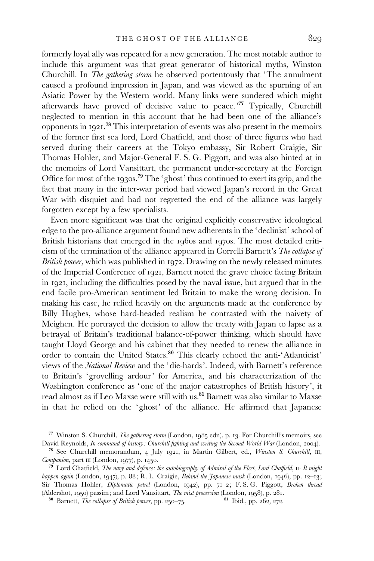formerly loyal ally was repeated for a new generation. The most notable author to include this argument was that great generator of historical myths, Winston Churchill. In The gathering storm he observed portentously that 'The annulment caused a profound impression in Japan, and was viewed as the spurning of an Asiatic Power by the Western world. Many links were sundered which might afterwards have proved of decisive value to peace.'<sup>77</sup> Typically, Churchill neglected to mention in this account that he had been one of the alliance's opponents in 1921.<sup>78</sup> This interpretation of events was also present in the memoirs of the former first sea lord, Lord Chatfield, and those of three figures who had served during their careers at the Tokyo embassy, Sir Robert Craigie, Sir Thomas Hohler, and Major-General F. S. G. Piggott, and was also hinted at in the memoirs of Lord Vansittart, the permanent under-secretary at the Foreign Office for most of the 1930s.<sup>79</sup> The 'ghost' thus continued to exert its grip, and the fact that many in the inter-war period had viewed Japan's record in the Great War with disquiet and had not regretted the end of the alliance was largely forgotten except by a few specialists.

Even more significant was that the original explicitly conservative ideological edge to the pro-alliance argument found new adherents in the 'declinist' school of British historians that emerged in the 1960s and 1970s. The most detailed criticism of the termination of the alliance appeared in Correlli Barnett's The collapse of British power, which was published in 1972. Drawing on the newly released minutes of the Imperial Conference of 1921, Barnett noted the grave choice facing Britain in 1921, including the difficulties posed by the naval issue, but argued that in the end facile pro-American sentiment led Britain to make the wrong decision. In making his case, he relied heavily on the arguments made at the conference by Billy Hughes, whose hard-headed realism he contrasted with the naivety of Meighen. He portrayed the decision to allow the treaty with Japan to lapse as a betrayal of Britain's traditional balance-of-power thinking, which should have taught Lloyd George and his cabinet that they needed to renew the alliance in order to contain the United States.<sup>80</sup> This clearly echoed the anti-'Atlanticist' views of the National Review and the 'die-hards'. Indeed, with Barnett's reference to Britain's 'grovelling ardour' for America, and his characterization of the Washington conference as 'one of the major catastrophes of British history', it read almost as if Leo Maxse were still with us.<sup>81</sup> Barnett was also similar to Maxse in that he relied on the 'ghost' of the alliance. He affirmed that Japanese

<sup>77</sup> Winston S. Churchill, The gathering storm (London, 1985 edn), p. 13. For Churchill's memoirs, see David Reynolds, In command of history: Churchill fighting and writing the Second World War (London, 2004).

<sup>78</sup> See Churchill memorandum, 4 July 1921, in Martin Gilbert, ed., Winston S. Churchill, III, Companion, part III (London, 1977), p. 1450.

 $79$  Lord Chatfield, The navy and defence: the autobiography of Admiral of the Fleet, Lord Chatfield,  $II$ : It might happen again (London, 1947), p. 88; R. L. Craigie, Behind the Japanese mask (London, 1946), pp. 12–13; Sir Thomas Hohler, Diplomatic petrel (London, 1942), pp. 71–2; F. S. G. Piggott, Broken thread (Aldershot, 1950) passim; and Lord Vansittart, *The mist procession* (London, 1958), p. 281.<br><sup>80</sup> Barnett, *The collapse of British power*, pp. 250–75.<br><sup>81</sup> Ibid., pp. 262, 272.

<sup>&</sup>lt;sup>80</sup> Barnett, *The collapse of British power*, pp. 250–75.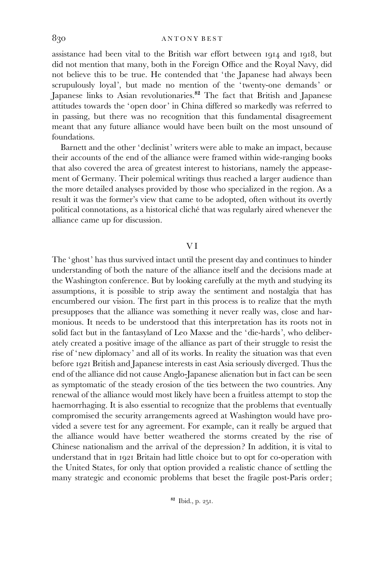assistance had been vital to the British war effort between 1914 and 1918, but did not mention that many, both in the Foreign Office and the Royal Navy, did not believe this to be true. He contended that 'the Japanese had always been scrupulously loyal', but made no mention of the 'twenty-one demands' or Japanese links to Asian revolutionaries.<sup>82</sup> The fact that British and Japanese attitudes towards the ' open door' in China differed so markedly was referred to in passing, but there was no recognition that this fundamental disagreement meant that any future alliance would have been built on the most unsound of foundations.

Barnett and the other 'declinist' writers were able to make an impact, because their accounts of the end of the alliance were framed within wide-ranging books that also covered the area of greatest interest to historians, namely the appeasement of Germany. Their polemical writings thus reached a larger audience than the more detailed analyses provided by those who specialized in the region. As a result it was the former's view that came to be adopted, often without its overtly political connotations, as a historical cliché that was regularly aired whenever the alliance came up for discussion.

#### V I

The 'ghost' has thus survived intact until the present day and continues to hinder understanding of both the nature of the alliance itself and the decisions made at the Washington conference. But by looking carefully at the myth and studying its assumptions, it is possible to strip away the sentiment and nostalgia that has encumbered our vision. The first part in this process is to realize that the myth presupposes that the alliance was something it never really was, close and harmonious. It needs to be understood that this interpretation has its roots not in solid fact but in the fantasyland of Leo Maxse and the 'die-hards', who deliberately created a positive image of the alliance as part of their struggle to resist the rise of 'new diplomacy' and all of its works. In reality the situation was that even before 1921 British and Japanese interests in east Asia seriously diverged. Thus the end of the alliance did not cause Anglo-Japanese alienation but in fact can be seen as symptomatic of the steady erosion of the ties between the two countries. Any renewal of the alliance would most likely have been a fruitless attempt to stop the haemorrhaging. It is also essential to recognize that the problems that eventually compromised the security arrangements agreed at Washington would have provided a severe test for any agreement. For example, can it really be argued that the alliance would have better weathered the storms created by the rise of Chinese nationalism and the arrival of the depression ? In addition, it is vital to understand that in 1921 Britain had little choice but to opt for co-operation with the United States, for only that option provided a realistic chance of settling the many strategic and economic problems that beset the fragile post-Paris order;